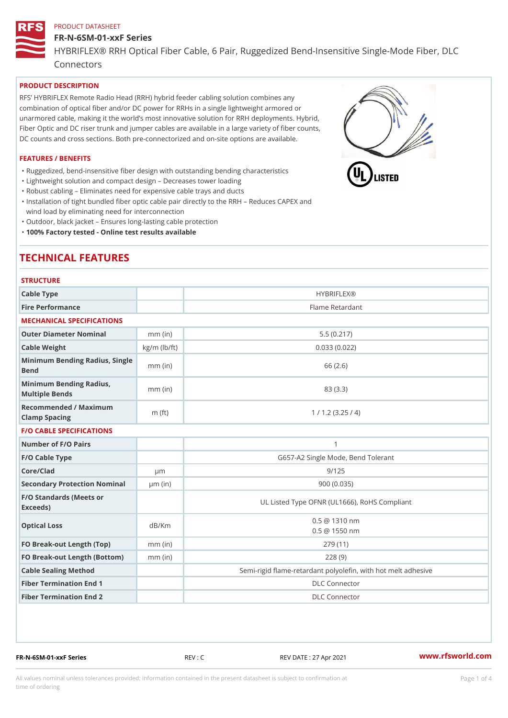## FR-N-6SM-01-xxF Series HYBRIFLEX® RRH Optical Fiber Cable, 6 Pair, Ruggedized Bend-Insens Connectors

## PRODUCT DESCRIPTION

RFS HYBRIFLEX Remote Radio Head (RRH) hybrid feeder cabling solution combines any combination of optical fiber and/or DC power for RRHs in a single lightweight armored or unarmored cable, making it the world s most innovative solution for RRH deployments. Hybrid, Fiber Optic and DC riser trunk and jumper cables are available in a large variety of fiber counts, DC counts and cross sections. Both pre-connectorized and on-site options are available.

#### FEATURES / BENEFITS

"Ruggedized, bend-insensitive fiber design with outstanding bending characteristics

- "Lightweight solution and compact design Decreases tower loading
- "Robust cabling Eliminates need for expensive cable trays and ducts
- "Installation of tight bundled fiber optic cable pair directly to the RRH Aeduces CAPEX and wind load by eliminating need for interconnection
- "Outdoor, black jacket Ensures long-lasting cable protection
- "100% Factory tested Online test results available

# TECHNICAL FEATURES

## **STRUCTURE**

| Cable Type                                        |                    | <b>HYBRIFLEX®</b>                                        |  |  |  |
|---------------------------------------------------|--------------------|----------------------------------------------------------|--|--|--|
| Fire Performance                                  |                    | Flame Retardant                                          |  |  |  |
| MECHANICAL SPECIFICATIONS                         |                    |                                                          |  |  |  |
| Outer Diameter Nominal                            | $mm$ (in)          | 5.5(0.217)                                               |  |  |  |
| Cable Weight                                      | $kg/m$ ( $lb/ft$ ) | 0.033(0.022)                                             |  |  |  |
| Minimum Bending Radius, Single<br>mm (in)<br>Bend |                    | 66 (2.6)                                                 |  |  |  |
| Minimum Bending Radius, mm (in)<br>Multiple Bends |                    | 83 (3.3)                                                 |  |  |  |
| Recommended / Maximum<br>Clamp Spacing            | $m$ (ft)           | 1 / 1.2 (3.25 / 4)                                       |  |  |  |
| <b>F/O CABLE SPECIFICATIONS</b>                   |                    |                                                          |  |  |  |
| Number of F/O Pairs                               |                    | $\mathbf{1}$                                             |  |  |  |
| F/O Cable Type                                    |                    | G657-A2 Single Mode, Bend Tolerant                       |  |  |  |
| Core/Clad                                         | $\mu$ m            | 9/125                                                    |  |  |  |
| Secondary Protection Nomimal(in)                  |                    | 900 (0.035)                                              |  |  |  |
| F/O Standards (Meets or<br>Exceeds)               |                    | UL Listed Type OFNR (UL1666), RoHS Compliant             |  |  |  |
| Optical Loss                                      | dB/Km              | $0.5 \ @ \ 1310 \ nm$<br>$0.5 \t@ 1550 nm$               |  |  |  |
| FO Break-out Length (Top)mm (in)                  |                    | 279 (11)                                                 |  |  |  |
| FO Break-out Length (Bottomm) (in)                |                    | 228(9)                                                   |  |  |  |
| Cable Sealing Method                              |                    | Semi-rigid flame-retardant polyolefin, with hot melt adl |  |  |  |
| Fiber Termination End                             |                    | <b>DLC</b> Connector                                     |  |  |  |
| Fiber Termination End 2                           |                    | <b>DLC</b> Connector                                     |  |  |  |

FR-N-6SM-01-xxF Series REV : C REV DATE : 27 Apr 2021 [www.](https://www.rfsworld.com)rfsworld.com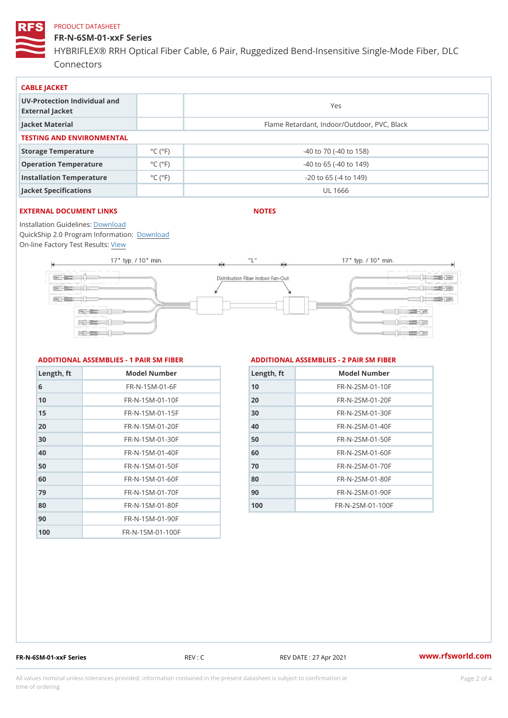FR-N-6SM-01-xxF Series HYBRIFLEX® RRH Optical Fiber Cable, 6 Pair, Ruggedized Bend-Insens Connectors

| CABLE JACKET                                    |                             |                                             |  |  |
|-------------------------------------------------|-----------------------------|---------------------------------------------|--|--|
| UV-Protection Individual and<br>External Jacket |                             | Yes                                         |  |  |
| Jacket Material                                 |                             | Flame Retardant, Indoor/Outdoor, PVC, Black |  |  |
| TESTING AND ENVIRONMENTAL                       |                             |                                             |  |  |
| Storage Temperature                             | $^{\circ}$ C ( $^{\circ}$ F | $-40$ to $70$ ( $-40$ to $158$ )            |  |  |
| Operation Temperature                           | $^{\circ}$ C ( $^{\circ}$ F | $-40$ to 65 ( $-40$ to 149)                 |  |  |
| Installation Temperature                        | $^{\circ}$ C ( $^{\circ}$ F | $-20$ to 65 ( $-4$ to 149)                  |  |  |
| Jacket Specifications                           |                             | UL 1666                                     |  |  |

## EXTERNAL DOCUMENT LINKS

NOTES

Installation Guidelwinessad QuickShip 2.0 Program [Informa](http://www.rfsworld.com/images/hybriflex/quickship_program_2.pdf)tion: On-line Factory Te[s](https://www.rfsworld.com/pictures/userfiles/programs/AAST Latest Version.zip)teResults:

#### ADDITIONAL ASSEMBLIES - 1 PAIR SM FIBERED DITIONAL ASSEMBLIES - 2 PAIR SM FIBER

| Length, ft | Model Number                  |
|------------|-------------------------------|
| 6          | $FR - N - 1 S M - 01 - 6 F$   |
| 10         | $FR - N - 1$ S M - 01 - 10 F  |
| 15         | $FR - N - 1$ S M - 01 - 15 F  |
| 20         | $FR - N - 1$ S M - 01 - 20 F  |
| 30         | $FR - N - 1$ S M - 01 - 30 F  |
| 40         | FR-N-1SM-01-40F               |
| 50         | $FR - N - 1$ S M - 01 - 50 F  |
| 60         | $FR - N - 1$ S M - 01 - 60 F  |
| 79         | $FR - N - 1$ S M - 01 - 70 F  |
| 80         | $FR - N - 1$ S M - 01 - 80 F  |
| 90         | FR-N-1SM-01-90F               |
| 100        | $FR - N - 1$ S M - 01 - 100 F |

| Length, ft | Model Number                 |
|------------|------------------------------|
| 10         | FR-N-2SM-01-10F              |
| 20         | $FR - N - 2 S M - 01 - 20 F$ |
| 30         | $FR - N - 2 S M - 01 - 30 F$ |
| 4 O        | $FR - N - 2 SM - 01 - 40 F$  |
| 50         | $FR - N - 2 SM - 01 - 50 F$  |
| 60         | FR-N-2 SM-01-60F             |
| 7 0        | $FR - N - 2 S M - 01 - 70 F$ |
| 80         | $FR - N - 2 SM - 01 - 80 F$  |
| 90         | $FR - N - 2 SM - 01 - 90 F$  |
| 100        | FR-N-2SM-01-100F             |

FR-N-6SM-01-xxF Series REV : C REV DATE : 27 Apr 2021 [www.](https://www.rfsworld.com)rfsworld.com

All values nominal unless tolerances provided; information contained in the present datasheet is subject to Pcapgnéio 2m atio time of ordering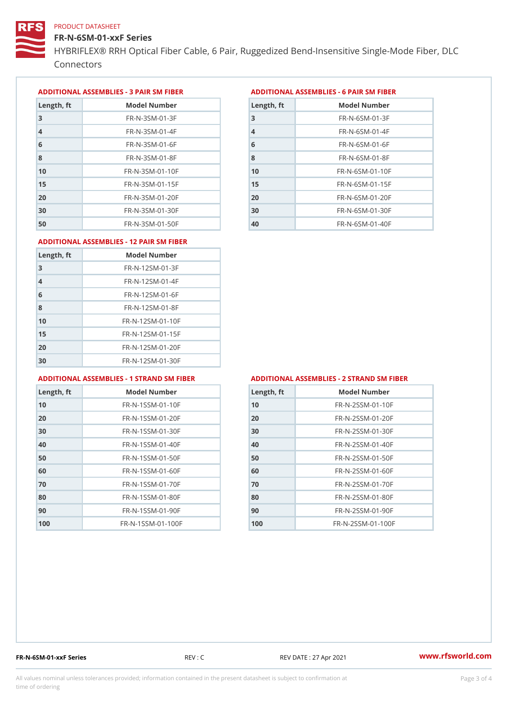FR-N-6SM-01-xxF Series

HYBRIFLEX® RRH Optical Fiber Cable, 6 Pair, Ruggedized Bend-Insens Connectors

ADDITIONAL ASSEMBLIES - 3 PAIR SM FIBERED DITIONAL ASSEMBLIES - 6 PAIR SM FIBER

| Length, ft     | Model Number                 |
|----------------|------------------------------|
| 3              | $FR - N - 3 S M - 01 - 3 F$  |
| $\overline{4}$ | $FR - N - 3 S M - 01 - 4 F$  |
| 6              | $FR - N - 3 S M - 01 - 6 F$  |
| 8              | FR-N-3SM-01-8F               |
| 1 <sub>0</sub> | $FR - N - 3 S M - 01 - 10 F$ |
| 15             | $FR - N - 3 S M - 01 - 15 F$ |
| 20             | $FR - N - 3 S M - 01 - 20 F$ |
| 30             | $FR - N - 3 S M - 01 - 30 F$ |
| 50             | $FR - N - 3 S M - 01 - 50 F$ |

| Length, ft     | Model Number                   |
|----------------|--------------------------------|
| 3              | $FR - N - 6 S M - 01 - 3 F$    |
| $\overline{4}$ | $FR - N - 6 S M - 01 - 4 F$    |
| 6              | $FR - N - 6 S M - 01 - 6 F$    |
| 8              | $FR - N - 6 S M - 01 - 8 F$    |
| 10             | $FR - N - 6.5 M - 0.1 - 1.0 F$ |
| 15             | $FR - N - 6$ S M - 01 - 15 F   |
| 20             | $FR - N - 6 SM - 01 - 20 F$    |
| 30             | $FR - N - 6 S M - 01 - 30 F$   |
| 40             | FR-N-6SM-01-40F                |

#### ADDITIONAL ASSEMBLIES - 12 PAIR SM FIBER

| Length, ft     | Model Number                 |
|----------------|------------------------------|
| 3              | $FR - N - 12SM - 01 - 3F$    |
| $\overline{4}$ | $FR - N - 12SM - 01 - 4F$    |
| 6              | $FR - N - 12$ S M - 01 - 6 F |
| 8              | $FR - N - 12$ S M - 01 - 8 F |
| 10             | FR-N-12SM-01-10F             |
| 15             | FR-N-12SM-01-15F             |
| 20             | FR-N-12SM-01-20F             |
| 30             | FR-N-12SM-01-30F             |

#### ADDITIONAL ASSEMBLIES - 1 STRAND SM FABSDRTIONAL ASSEMBLIES - 2 STRAND SM FIBER

| Length, ft | Model Number                    |
|------------|---------------------------------|
| 10         | $FR - N - 1$ S S M - 01 - 10 F  |
| 20         | $FR - N - 1$ S S M - 01 - 20 F  |
| 30         | $FR - N - 1$ S S M - 01 - 30 F  |
| 40         | FR-N-1SSM-01-40F                |
| 50         | $FR - N - 1$ S S M - 01 - 50 F  |
| 60         | $FR - N - 1$ S S M - 01 - 60 F  |
| 70         | FR-N-1SSM-01-70F                |
| 80         | $FR - N - 1$ S S M - 01 - 80 F  |
| 90         | FR-N-1SSM-01-90F                |
| 100        | $FR - N - 1$ S S M - 01 - 100 F |

| Length, ft | Model Number                   |
|------------|--------------------------------|
| 10         | $FR - N - 2 S S M - 01 - 10 F$ |
| 20         | FR-N-2SSM-01-20F               |
| 30         | FR-N-2SSM-01-30F               |
| 40         | FR-N-2SSM-01-40F               |
| 50         | FR-N-2SSM-01-50F               |
| 60         | $FR - N - 2 S S M - 01 - 60 F$ |
| 70         | FR-N-2SSM-01-70F               |
| 80         | FR-N-2SSM-01-80F               |
| 90         | FR-N-2SSM-01-90F               |
| 100        | FR-N-2SSM-01-100F              |

FR-N-6SM-01-xxF Series REV : C REV DATE : 27 Apr 2021 [www.](https://www.rfsworld.com)rfsworld.com

All values nominal unless tolerances provided; information contained in the present datasheet is subject to Pcapgeling that i time of ordering